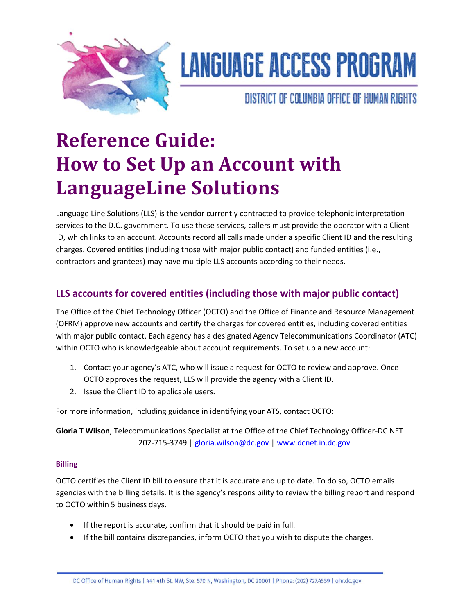

# **LANGUAGE ACCESS PROGRAM**

DISTRICT OF COLUMBIA OFFICE OF HUMAN RIGHTS

# **Reference Guide: How to Set Up an Account with LanguageLine Solutions**

Language Line Solutions (LLS) is the vendor currently contracted to provide telephonic interpretation services to the D.C. government. To use these services, callers must provide the operator with a Client ID, which links to an account. Accounts record all calls made under a specific Client ID and the resulting charges. Covered entities (including those with major public contact) and funded entities (i.e., contractors and grantees) may have multiple LLS accounts according to their needs.

## **LLS accounts for covered entities (including those with major public contact)**

The Office of the Chief Technology Officer (OCTO) and the Office of Finance and Resource Management (OFRM) approve new accounts and certify the charges for covered entities, including covered entities with major public contact. Each agency has a designated Agency Telecommunications Coordinator (ATC) within OCTO who is knowledgeable about account requirements. To set up a new account:

- 1. Contact your agency's ATC, who will issue a request for OCTO to review and approve. Once OCTO approves the request, LLS will provide the agency with a Client ID.
- 2. Issue the Client ID to applicable users.

For more information, including guidance in identifying your ATS, contact OCTO:

**Gloria T Wilson**, Telecommunications Specialist at the Office of the Chief Technology Officer-DC NET 202-715-3749 | [gloria.wilson@dc.gov](mailto:gloria.wilson@dc.gov) [| www.dcnet.in.dc.gov](http://www.dcnet.in.dc.gov/)

#### **Billing**

OCTO certifies the Client ID bill to ensure that it is accurate and up to date. To do so, OCTO emails agencies with the billing details. It is the agency's responsibility to review the billing report and respond to OCTO within 5 business days.

- If the report is accurate, confirm that it should be paid in full.
- If the bill contains discrepancies, inform OCTO that you wish to dispute the charges.